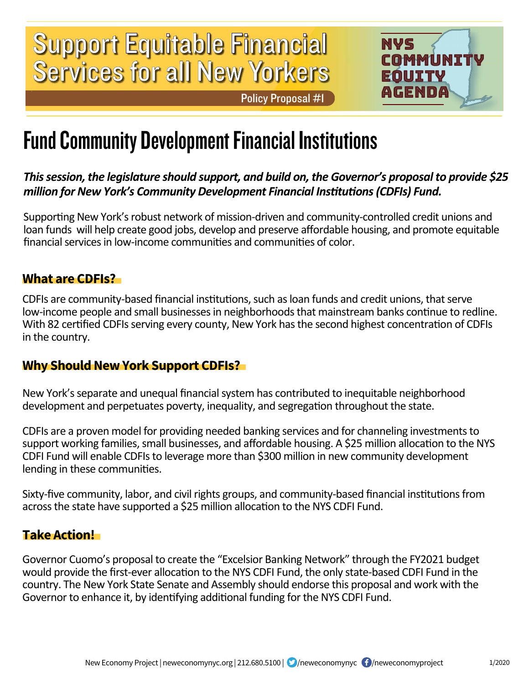# Services for all New Yorkers Support Equitable Financial

Policy Proposal #1



### Fund Community Development Financial Institutions

#### *This session, the legislature should support, and build on, the Governor's proposal to provide \$25 million for New York's Community Development Financial Institutions (CDFIs) Fund.*

Supporting New York's robust network of mission-driven and community-controlled credit unions and loan funds will help create good jobs, develop and preserve affordable housing, and promote equitable financial services in low-income communities and communities of color.

#### **What are CDFIs?**

CDFIs are community-based financial institutions, such as loan funds and credit unions, that serve low-income people and small businesses in neighborhoods that mainstream banks continue to redline. With 82 certified CDFIs serving every county, New York has the second highest concentration of CDFIs in the country.

#### **Why Should New York Support CDFIs?**

New York's separate and unequal financial system has contributed to inequitable neighborhood development and perpetuates poverty, inequality, and segregation throughout the state.

CDFIs are a proven model for providing needed banking services and for channeling investments to support working families, small businesses, and affordable housing. A \$25 million allocation to the NYS CDFI Fund will enable CDFIs to leverage more than \$300 million in new community development lending in these communities.

Sixty-five community, labor, and civil rights groups, and community-based financial institutions from across the state have supported a \$25 million allocation to the NYS CDFI Fund.

#### **Take Action!**

Governor Cuomo's proposal to create the "Excelsior Banking Network" through the FY2021 budget would provide the first-ever allocation to the NYS CDFI Fund, the only state-based CDFI Fund in the country. The New York State Senate and Assembly should endorse this proposal and work with the Governor to enhance it, by identifying additional funding for the NYS CDFI Fund.